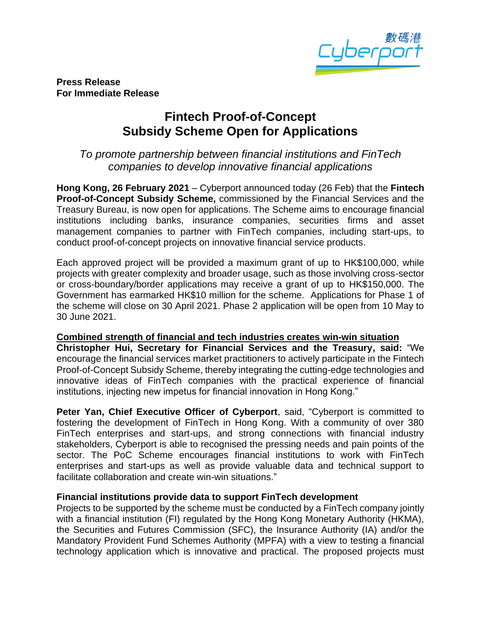

**Press Release For Immediate Release**

# **Fintech Proof-of-Concept Subsidy Scheme Open for Applications**

## *To promote partnership between financial institutions and FinTech companies to develop innovative financial applications*

**Hong Kong, 26 February 2021** – Cyberport announced today (26 Feb) that the **Fintech Proof-of-Concept Subsidy Scheme,** commissioned by the Financial Services and the Treasury Bureau, is now open for applications. The Scheme aims to encourage financial institutions including banks, insurance companies, securities firms and asset management companies to partner with FinTech companies, including start-ups, to conduct proof-of-concept projects on innovative financial service products.

Each approved project will be provided a maximum grant of up to HK\$100,000, while projects with greater complexity and broader usage, such as those involving cross-sector or cross-boundary/border applications may receive a grant of up to HK\$150,000. The Government has earmarked HK\$10 million for the scheme. Applications for Phase 1 of the scheme will close on 30 April 2021. Phase 2 application will be open from 10 May to 30 June 2021.

#### **Combined strength of financial and tech industries creates win-win situation**

**Christopher Hui, Secretary for Financial Services and the Treasury, said:** "We encourage the financial services market practitioners to actively participate in the Fintech Proof-of-Concept Subsidy Scheme, thereby integrating the cutting-edge technologies and innovative ideas of FinTech companies with the practical experience of financial institutions, injecting new impetus for financial innovation in Hong Kong."

**Peter Yan, Chief Executive Officer of Cyberport**, said, "Cyberport is committed to fostering the development of FinTech in Hong Kong. With a community of over 380 FinTech enterprises and start-ups, and strong connections with financial industry stakeholders, Cyberport is able to recognised the pressing needs and pain points of the sector. The PoC Scheme encourages financial institutions to work with FinTech enterprises and start-ups as well as provide valuable data and technical support to facilitate collaboration and create win-win situations."

#### **Financial institutions provide data to support FinTech development**

Projects to be supported by the scheme must be conducted by a FinTech company jointly with a financial institution (FI) regulated by the Hong Kong Monetary Authority (HKMA), the Securities and Futures Commission (SFC), the Insurance Authority (IA) and/or the Mandatory Provident Fund Schemes Authority (MPFA) with a view to testing a financial technology application which is innovative and practical. The proposed projects must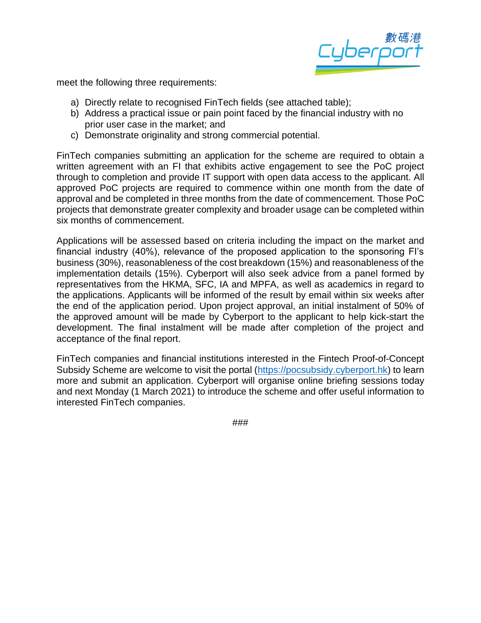

meet the following three requirements:

- a) Directly relate to recognised FinTech fields (see attached table);
- b) Address a practical issue or pain point faced by the financial industry with no prior user case in the market; and
- c) Demonstrate originality and strong commercial potential.

FinTech companies submitting an application for the scheme are required to obtain a written agreement with an FI that exhibits active engagement to see the PoC project through to completion and provide IT support with open data access to the applicant. All approved PoC projects are required to commence within one month from the date of approval and be completed in three months from the date of commencement. Those PoC projects that demonstrate greater complexity and broader usage can be completed within six months of commencement.

Applications will be assessed based on criteria including the impact on the market and financial industry (40%), relevance of the proposed application to the sponsoring FI's business (30%), reasonableness of the cost breakdown (15%) and reasonableness of the implementation details (15%). Cyberport will also seek advice from a panel formed by representatives from the HKMA, SFC, IA and MPFA, as well as academics in regard to the applications. Applicants will be informed of the result by email within six weeks after the end of the application period. Upon project approval, an initial instalment of 50% of the approved amount will be made by Cyberport to the applicant to help kick-start the development. The final instalment will be made after completion of the project and acceptance of the final report.

FinTech companies and financial institutions interested in the Fintech Proof-of-Concept Subsidy Scheme are welcome to visit the portal [\(https://pocsubsidy.cyberport.hk\)](https://pocsubsidy.cyberport.hk/) to learn more and submit an application. Cyberport will organise online briefing sessions today and next Monday (1 March 2021) to introduce the scheme and offer useful information to interested FinTech companies.

###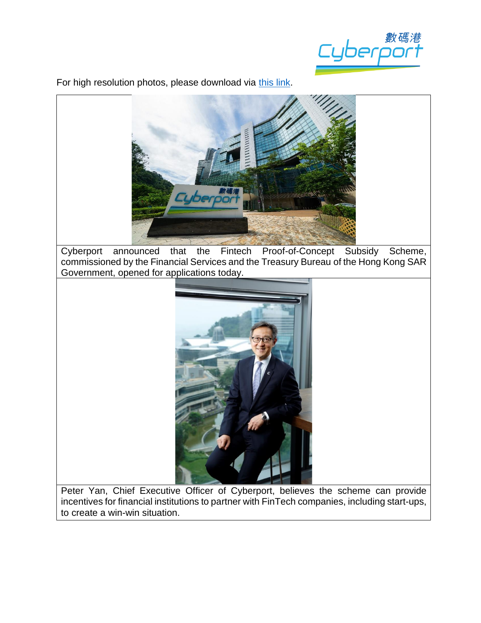

For high resolution photos, please download via [this](https://drive.google.com/drive/folders/1dcfpjXifJMj_XcfFlKk5zU5jtc-isqif?usp=sharing) link.



Cyberport announced that the Fintech Proof-of-Concept Subsidy Scheme, commissioned by the Financial Services and the Treasury Bureau of the Hong Kong SAR Government, opened for applications today.



Peter Yan, Chief Executive Officer of Cyberport, believes the scheme can provide incentives for financial institutions to partner with FinTech companies, including start-ups, to create a win-win situation.